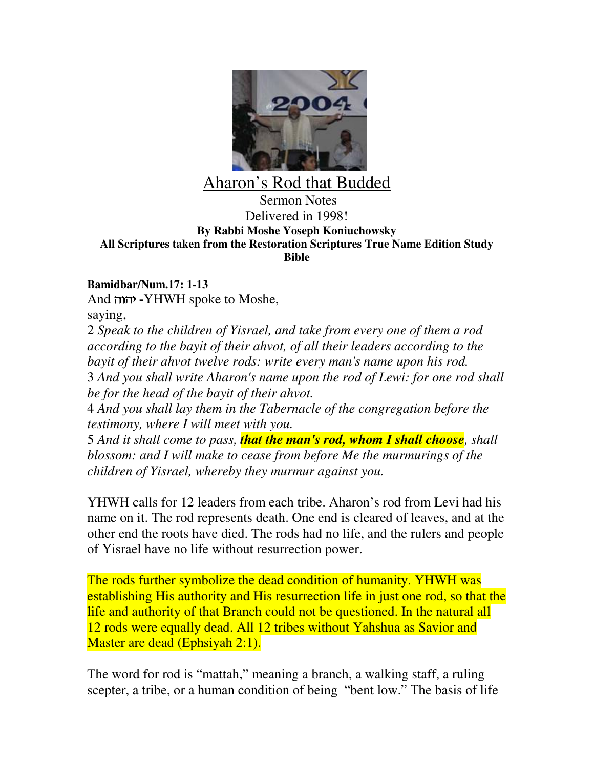

## Aharon's Rod that Budded

## Sermon Notes Delivered in 1998! **By Rabbi Moshe Yoseph Koniuchowsky All Scriptures taken from the Restoration Scriptures True Name Edition Study Bible**

## **Bamidbar/Num.17: 1-13**

And - **-**YHWH spoke to Moshe,

saying,

2 *Speak to the children of Yisrael, and take from every one of them a rod according to the bayit of their ahvot, of all their leaders according to the bayit of their ahvot twelve rods: write every man's name upon his rod.* 3 *And you shall write Aharon's name upon the rod of Lewi: for one rod shall*

*be for the head of the bayit of their ahvot.*

4 *And you shall lay them in the Tabernacle of the congregation before the testimony, where I will meet with you.*

5 *And it shall come to pass, that the man's rod, whom I shall choose, shall blossom: and I will make to cease from before Me the murmurings of the children of Yisrael, whereby they murmur against you.*

YHWH calls for 12 leaders from each tribe. Aharon's rod from Levi had his name on it. The rod represents death. One end is cleared of leaves, and at the other end the roots have died. The rods had no life, and the rulers and people of Yisrael have no life without resurrection power.

The rods further symbolize the dead condition of humanity. YHWH was establishing His authority and His resurrection life in just one rod, so that the life and authority of that Branch could not be questioned. In the natural all 12 rods were equally dead. All 12 tribes without Yahshua as Savior and Master are dead (Ephsiyah 2:1).

The word for rod is "mattah," meaning a branch, a walking staff, a ruling scepter, a tribe, or a human condition of being "bent low." The basis of life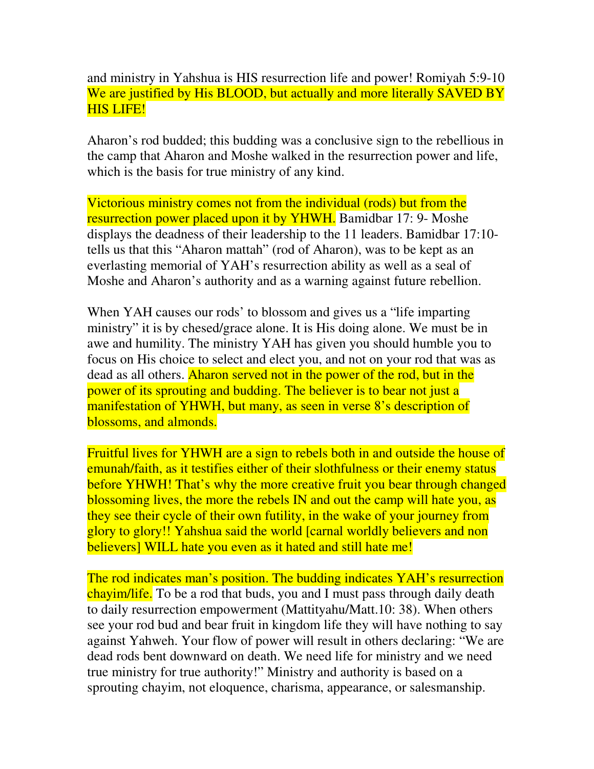and ministry in Yahshua is HIS resurrection life and power! Romiyah 5:9-10 We are justified by His BLOOD, but actually and more literally SAVED BY HIS LIFE!

Aharon's rod budded; this budding was a conclusive sign to the rebellious in the camp that Aharon and Moshe walked in the resurrection power and life, which is the basis for true ministry of any kind.

Victorious ministry comes not from the individual (rods) but from the resurrection power placed upon it by YHWH. Bamidbar 17: 9- Moshe displays the deadness of their leadership to the 11 leaders. Bamidbar 17:10 tells us that this "Aharon mattah" (rod of Aharon), was to be kept as an everlasting memorial of YAH's resurrection ability as well as a seal of Moshe and Aharon's authority and as a warning against future rebellion.

When YAH causes our rods' to blossom and gives us a "life imparting" ministry" it is by chesed/grace alone. It is His doing alone. We must be in awe and humility. The ministry YAH has given you should humble you to focus on His choice to select and elect you, and not on your rod that was as dead as all others. Aharon served not in the power of the rod, but in the power of its sprouting and budding. The believer is to bear not just a manifestation of YHWH, but many, as seen in verse 8's description of blossoms, and almonds.

Fruitful lives for YHWH are a sign to rebels both in and outside the house of emunah/faith, as it testifies either of their slothfulness or their enemy status before YHWH! That's why the more creative fruit you bear through changed blossoming lives, the more the rebels IN and out the camp will hate you, as they see their cycle of their own futility, in the wake of your journey from glory to glory!! Yahshua said the world [carnal worldly believers and non believers] WILL hate you even as it hated and still hate me!

The rod indicates man's position. The budding indicates YAH's resurrection chayim/life. To be a rod that buds, you and I must pass through daily death to daily resurrection empowerment (Mattityahu/Matt.10: 38). When others see your rod bud and bear fruit in kingdom life they will have nothing to say against Yahweh. Your flow of power will result in others declaring: "We are dead rods bent downward on death. We need life for ministry and we need true ministry for true authority!" Ministry and authority is based on a sprouting chayim, not eloquence, charisma, appearance, or salesmanship.